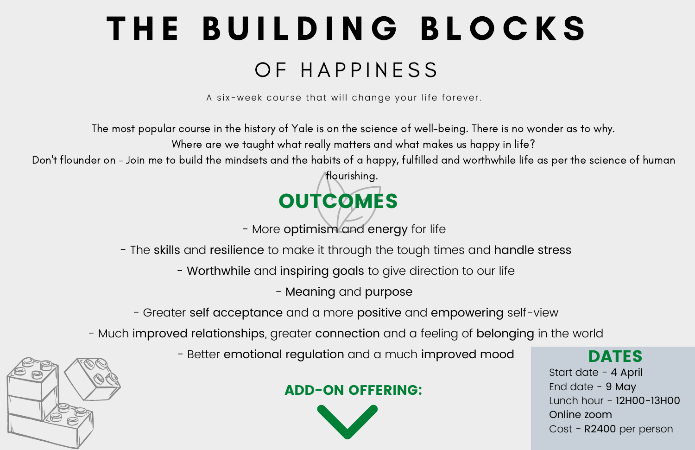# THE BUILDING BLOCKS OF HAPPINESS

A six-week course that will change your life forever.

- Meaning and purpose

- Greater self acceptance and a more positive and empowering self-view

- Much improved relationships, greater connection and a feeling of belonging in the world

- Better emotional regulation and a much improved mood

## OUTCOMES

- More optimism and energy for life

- The skills and resilience to make it through the tough times and handle stress

- Worthwhile and inspiring goals to give direction to our life

#### ADD-ON OFFERING:





The most popular course in the history of Yale is on the science of well-being. There is no wonder as to why. Where are we taught what really matters and what makes us happy in life? Don 't flounder on - Join me to build the mindsets and the habits of a happy, fulfilled and worthwhile life as per the science of human

flourishing.

Start date - 4 April End date - 9 May Lunch hour - 12H00-13H00 Online zoom Cost - R2400 per person

DATES